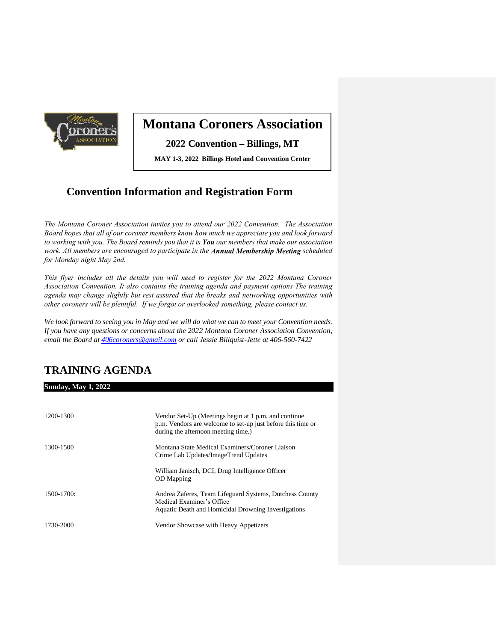

# **Montana Coroners Association**

**2022 Convention – Billings, MT**

**MAY 1-3, 2022 Billings Hotel and Convention Center**

## **Convention Information and Registration Form**

*The Montana Coroner Association invites you to attend our 2022 Convention. The Association Board hopes that all of our coroner members know how much we appreciate you and look forward to working with you. The Board reminds you that it is You our members that make our association work. All members are encouraged to participate in the Annual Membership Meeting scheduled for Monday night May 2nd.* 

*This flyer includes all the details you will need to register for the 2022 Montana Coroner Association Convention. It also contains the training agenda and payment options The training agenda may change slightly but rest assured that the breaks and networking opportunities with other coroners will be plentiful. If we forgot or overlooked something, please contact us.* 

*We look forward to seeing you in May and we will do what we can to meet your Convention needs. If you have any questions or concerns about the 2022 Montana Coroner Association Convention, email the Board a[t 406coroners@gmail.com](mailto:406coroners@gmail.com) or call Jessie Billquist-Jette at 406-560-7422*

## **TRAINING AGENDA**

**Sunday, May 1, 2022**

| 1200-1300       | Vendor Set-Up (Meetings begin at 1 p.m. and continue<br>p.m. Vendors are welcome to set-up just before this time or<br>during the afternoon meeting time.) |
|-----------------|------------------------------------------------------------------------------------------------------------------------------------------------------------|
| 1300-1500       | Montana State Medical Examiners/Coroner Liaison<br>Crime Lab Updates/ImageTrend Updates                                                                    |
|                 | William Janisch, DCI, Drug Intelligence Officer<br><b>OD</b> Mapping                                                                                       |
| $1500 - 1700$ : | Andrea Zaferes, Team Lifeguard Systems, Dutchess County<br>Medical Examiner's Office<br>Aquatic Death and Homicidal Drowning Investigations                |
| 1730-2000       | Vendor Showcase with Heavy Appetizers                                                                                                                      |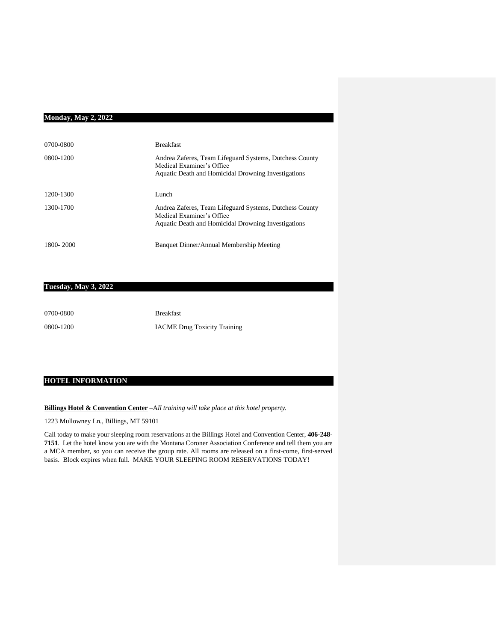#### **Monday, May 2, 2022**

| 0700-0800 | <b>Breakfast</b>                                                                                                                            |
|-----------|---------------------------------------------------------------------------------------------------------------------------------------------|
| 0800-1200 | Andrea Zaferes, Team Lifeguard Systems, Dutchess County<br>Medical Examiner's Office<br>Aquatic Death and Homicidal Drowning Investigations |
| 1200-1300 | Lunch                                                                                                                                       |
| 1300-1700 | Andrea Zaferes, Team Lifeguard Systems, Dutchess County<br>Medical Examiner's Office<br>Aquatic Death and Homicidal Drowning Investigations |
| 1800-2000 | Banquet Dinner/Annual Membership Meeting                                                                                                    |

#### **Tuesday, May 3, 2022**

| 0700-0800 | <b>Breakfast</b>                    |
|-----------|-------------------------------------|
| 0800-1200 | <b>IACME Drug Toxicity Training</b> |

#### **HOTEL INFORMATION**

**Billings Hotel & Convention Center** –A*ll training will take place at this hotel property.*

1223 Mullowney Ln., Billings, MT 59101

Call today to make your sleeping room reservations at the Billings Hotel and Convention Center, **406-248- 7151**. Let the hotel know you are with the Montana Coroner Association Conference and tell them you are a MCA member, so you can receive the group rate. All rooms are released on a first-come, first-served basis. Block expires when full. MAKE YOUR SLEEPING ROOM RESERVATIONS TODAY!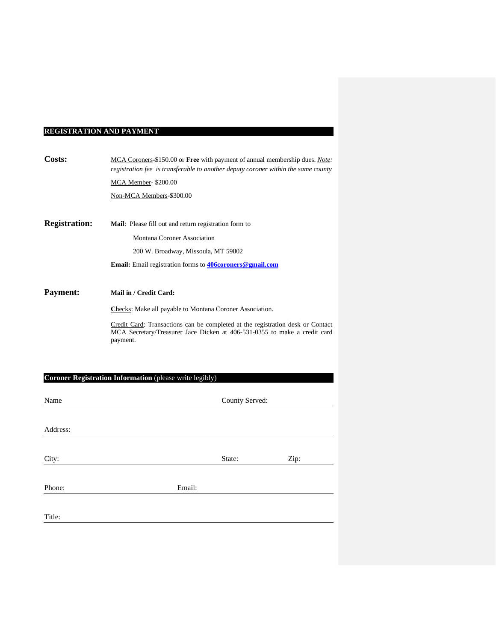## **REGISTRATION AND PAYMENT**

| Costs:               | MCA Coroners-\$150.00 or Free with payment of annual membership dues. Note:<br>registration fee is transferable to another deputy coroner within the same county |  |
|----------------------|------------------------------------------------------------------------------------------------------------------------------------------------------------------|--|
|                      | MCA Member- \$200.00                                                                                                                                             |  |
|                      | Non-MCA Members-\$300.00                                                                                                                                         |  |
|                      |                                                                                                                                                                  |  |
| <b>Registration:</b> | <b>Mail:</b> Please fill out and return registration form to                                                                                                     |  |
|                      | Montana Coroner Association                                                                                                                                      |  |
|                      | 200 W. Broadway, Missoula, MT 59802                                                                                                                              |  |
|                      | <b>Email:</b> Email registration forms to <b>406 coroners</b> @ gmail.com                                                                                        |  |
|                      |                                                                                                                                                                  |  |
| <b>Payment:</b>      | Mail in / Credit Card:                                                                                                                                           |  |
|                      |                                                                                                                                                                  |  |

Checks: Make all payable to Montana Coroner Association.

Credit Card: Transactions can be completed at the registration desk or Contact MCA Secretary/Treasurer Jace Dicken at 406-531-0355 to make a credit card payment.

### **Coroner Registration Information** (please write legibly)

| Name     |        | County Served: |      |
|----------|--------|----------------|------|
|          |        |                |      |
| Address: |        |                |      |
|          |        |                |      |
| City:    |        | State:         | Zip: |
|          |        |                |      |
| Phone:   | Email: |                |      |
|          |        |                |      |
| Title:   |        |                |      |
|          |        |                |      |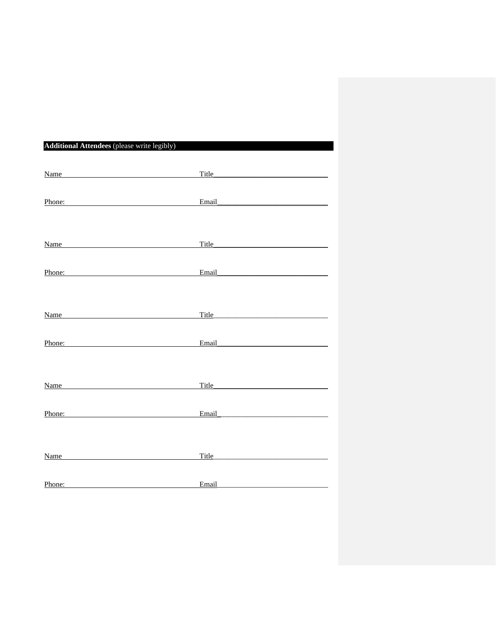| <b>Additional Attendees</b> (please write legibly)                                                                                                                                                                             |                                                                                                                                                                                                                                      |  |  |
|--------------------------------------------------------------------------------------------------------------------------------------------------------------------------------------------------------------------------------|--------------------------------------------------------------------------------------------------------------------------------------------------------------------------------------------------------------------------------------|--|--|
| Name and the set of the set of the set of the set of the set of the set of the set of the set of the set of the set of the set of the set of the set of the set of the set of the set of the set of the set of the set of the  |                                                                                                                                                                                                                                      |  |  |
| Phone:                                                                                                                                                                                                                         | Email <b>Executive Service Service Service Service</b>                                                                                                                                                                               |  |  |
| Name and the set of the set of the set of the set of the set of the set of the set of the set of the set of the set of the set of the set of the set of the set of the set of the set of the set of the set of the set of the  | Title Title                                                                                                                                                                                                                          |  |  |
| Phone: Phone Phone Phone Phone Phone Phone Phone Phone Phone Phone Phone Phone Phone Phone Phone Phone Phone Phone Phone Phone Phone Phone Phone Phone Phone Phone Phone Phone Phone Phone Phone Phone Phone Phone Phone Phone | Email <b>Executive Contract Contract Contract Contract Contract Contract Contract Contract Contract Contract Contract Contract Contract Contract Contract Contract Contract Contract Contract Contract Contract Contract Contrac</b> |  |  |
| Name Name                                                                                                                                                                                                                      | Title Title                                                                                                                                                                                                                          |  |  |
| Phone:                                                                                                                                                                                                                         | Email experience and the state of the state of the state of the state of the state of the state of the state of the state of the state of the state of the state of the state of the state of the state of the state of the st       |  |  |
| Name                                                                                                                                                                                                                           |                                                                                                                                                                                                                                      |  |  |
| Phone: Phone Phone Phone Phone Phone Phone Phone Phone Phone Phone Phone Phone Phone Phone Phone Phone Phone Phone Phone Phone Phone Phone Phone Phone Phone Phone Phone Phone Phone Phone Phone Phone Phone Phone Phone Phone | Email 2008 - 2008 - 2010 - 2010 - 2010 - 2010 - 2010 - 2010 - 2010 - 2010 - 2010 - 2010 - 2010 - 2010 - 2010 -                                                                                                                       |  |  |
| Name and the contract of the contract of the contract of the contract of the contract of the contract of the contract of the contract of the contract of the contract of the contract of the contract of the contract of the c | Title <b>The Community of the Community</b> of the Community of the Community of the Community of the Community of the Community of the Community of the Community of the Community of the Community of the Community of the Commun  |  |  |
| Phone:                                                                                                                                                                                                                         | Email                                                                                                                                                                                                                                |  |  |